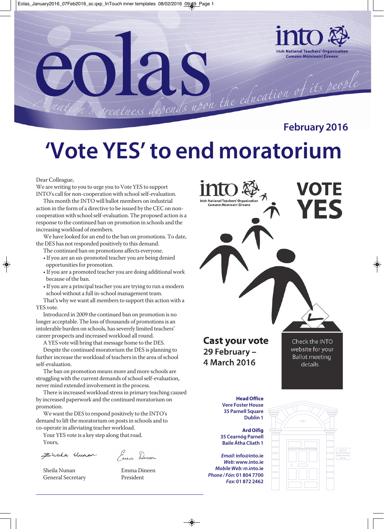

# **'Vote YES' to end moratorium**

Dear Colleague,

We are writing to you to urge you to Vote YES to support INTO's call for non-cooperation with school self-evaluation.

This month the INTO will ballot members on industrial action in the form of a directive to be issued by the CEC on noncooperation with school self-evaluation. The proposed action is a response to the continued ban on promotion in schools and the increasing workload of members.

We have looked for an end to the ban on promotions. To date, the DES has not responded positively to this demand.

- The continued ban on promotions affects everyone.
- If you are an un-promoted teacher you are being denied opportunities for promotion.
- If you are a promoted teacher you are doing additional work because of the ban.
- If you are a principal teacher you are trying to run a modern school without a full in-school management team.

That's why we want all members to support this action with a YES vote.

Introduced in 2009 the continued ban on promotion is no longer acceptable. The loss of thousands of promotions is an intolerable burden on schools, has severely limited teachers' career prospects and increased workload all round.

A YES vote will bring that message home to the DES.

Despite the continued moratorium the DES is planning to further increase the workload of teachers in the area of school self-evaluation.

The ban on promotion means more and more schools are struggling with the current demands of school self-evaluation, never mind extended involvement in the process.

There is increased workload stress in primary teaching caused by increased paperwork and the continued moratorium on promotion.

We want the DES to respond positively to the INTO's demand to lift the moratorium on posts in schools and to co-operate in alleviating teacher workload.

Your YES vote is a key step along that road. Yours,

Ehala Uman

Sheila Nunan Emma Dineen General Secretary President

Enna Dineen

VOTE **Irish National Teachers' Organisation** .<br>Cumann Múinteoirí Éireann **Cast your vote** Check the INTO website for your 29 February -**Ballot meeting** 4 March 2016 details **Head Office Vere Foster House 35 Parnell Square Dublin 1 Ard Oifig 35 Cearnóg Parnell Baile Átha Cliath 1** *Email:* **info@into.ie** *Web:* **www.into.ie** *Mobile Web: m***.into.ie** *Phone / Fón:* **01 804 7700** *Fax:* **01 872 2462**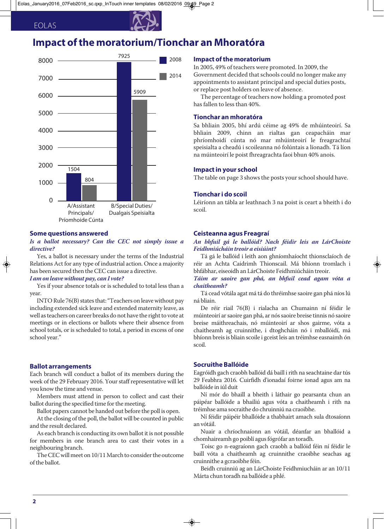### EOLAS

## **Impact of the moratorium/Tionchar an Mhoratóra**



#### **Some questions answered**

#### *Is a ballot necessary? Can the CEC not simply issue a directive?*

Yes, a ballot is necessary under the terms of the Industrial Relations Act for any type of industrial action. Once a majority has been secured then the CEC can issue a directive.

### *I am on leave without pay, can I vote?*

Yes if your absence totals or is scheduled to total less than a year.

INTO Rule 76(B) states that: "Teachers on leave without pay including extended sick leave and extended maternity leave, as well as teachers on career breaks do not have the right to vote at meetings or in elections or ballots where their absence from school totals, or is scheduled to total, a period in excess of one school year."

#### **Ballot arrangements**

Each branch will conduct a ballot of its members during the week of the 29 February 2016. Your staff representative will let you know the time and venue.

Members must attend in person to collect and cast their ballot during the specified time for the meeting.

Ballot papers cannot be handed out before the poll is open.

At the closing of the poll, the ballot will be counted in public and the result declared.

As each branch is conducting its own ballot it is not possible for members in one branch area to cast their votes in a neighbouring branch.

The CEC will meet on 10/11 March to consider the outcome of the ballot.

#### **Impact of the moratorium**

In 2005, 49% of teachers were promoted. In 2009, the Government decided that schools could no longer make any appointments to assistant principal and special duties posts, or replace post holders on leave of absence.

The percentage of teachers now holding a promoted post has fallen to less than 40%.

#### **Tionchar an mhoratóra**

Sa bhliain 2005, bhí ardú céime ag 49% de mhúinteoirí. Sa bhliain 2009, chinn an rialtas gan ceapacháin mar phríomhoidí cúnta nó mar mhúinteoirí le freagrachtaí speisialta a cheadú i scoileanna nó folúntais a líonadh. Tá líon na múinteoirí le poist fhreagrachta faoi bhun 40% anois.

#### **Impact in your school**

The table on page 3 shows the posts your school should have.

#### **Tionchar i do scoil**

Léiríonn an tábla ar leathnach 3 na poist is ceart a bheith i do scoil.

#### **Ceisteanna agus Freagraí**

#### *An bhfuil gá le ballóid? Nach féidir leis an LárChoiste Feidhmiúcháin treoir a eisiúint?*

Tá gá le ballóid i leith aon ghníomhaíocht thionsclaíoch de réir an Achta Caidrimh Thionscail. Má bhíonn tromlach i bhfábhar, eiseoidh an LárChoiste Feidhmiúcháin treoir.

*Táim ar saoire gan phá, an bhfuil cead agam vóta a chaitheamh?*

Tá cead vótála agat má tá do thréimhse saoire gan phá níos lú ná bliain.

De réir riail 76(B) i rialacha an Chumainn ní féidir le múinteoirí ar saoire gan phá, ar nós saoire breise tinnis nó saoire breise máithreachais, nó múinteoirí ar shos gairme, vóta a chaitheamh ag cruinnithe, i dtoghcháin nó i mballóidí, má bhíonn breis is bliain scoile i gceist leis an tréimhse easnaimh ón scoil.

#### **Socruithe Ballóide**

Eagróidh gach craobh ballóid dá baill i rith na seachtaine dar tús 29 Feabhra 2016. Cuirfidh d'ionadaí foirne ionad agus am na ballóide in iúl duit

Ní mór do bhaill a bheith i láthair go pearsanta chun an páipéar ballóide a bhailiú agus vóta a chaitheamh i rith na tréimhse ama socraithe do chruinniú na craoibhe.

Ní féidir páipéir bhallóide a thabhairt amach sula dtosaíonn an vótáil.

Nuair a chríochnaíonn an vótáil, déanfar an bhallóid a chomhaireamh go poiblí agus fógrófar an toradh.

Toisc go n-eagraíonn gach craobh a ballóid féin ní féidir le baill vóta a chaitheamh ag cruinnithe craoibhe seachas ag cruinnithe a gcraoibhe féin.

Beidh cruinniú ag an LárChoiste Feidhmiucháin ar an 10/11 Márta chun toradh na ballóide a phlé.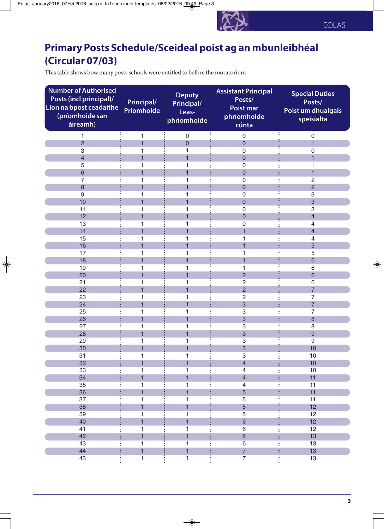## **Primary Posts Schedule/Sceideal poist ag an mbunleibhéal (Circular 07/03)**

This table shows how many posts schools were entitled to before the moratorium

| <b>Number of Authorised</b><br>Posts (incl principal)/<br>Líon na bpost ceadaithe<br>(príomhoide san<br>áireamh) | <b>Principal/</b><br>Príomhoide | <b>Deputy</b><br>Principal/<br>Leas-<br>phríomhoide | <b>Assistant Principal</b><br>Posts/<br><b>Poist mar</b><br>phríomhoide<br>cúnta | <b>Special Duties</b><br>Posts/<br>Poist um dhualgais<br>speisialta |
|------------------------------------------------------------------------------------------------------------------|---------------------------------|-----------------------------------------------------|----------------------------------------------------------------------------------|---------------------------------------------------------------------|
| 1                                                                                                                | 1                               | $\mathbf 0$                                         | $\mathbf 0$                                                                      | $\mathbf 0$                                                         |
| $\overline{2}$                                                                                                   | $\overline{1}$                  | $\overline{0}$                                      | $\overline{0}$                                                                   | $\overline{1}$                                                      |
| 3                                                                                                                |                                 |                                                     | $\mathbf 0$                                                                      | 0                                                                   |
| $\overline{4}$                                                                                                   |                                 |                                                     | $\overline{0}$                                                                   | 1                                                                   |
| 5                                                                                                                |                                 |                                                     | $\mathbf 0$                                                                      | 1                                                                   |
| $6\phantom{1}6$                                                                                                  |                                 |                                                     | $\mathbf 0$                                                                      | 1                                                                   |
| 7                                                                                                                |                                 |                                                     | $\boldsymbol{0}$                                                                 | $\overline{c}$                                                      |
| 8                                                                                                                |                                 |                                                     | $\mathbf 0$                                                                      | $\overline{c}$                                                      |
| $9\,$                                                                                                            |                                 |                                                     | $\mathbf 0$                                                                      | 3                                                                   |
| 10                                                                                                               |                                 |                                                     | $\overline{0}$                                                                   | 3                                                                   |
| 11                                                                                                               |                                 |                                                     | $\mathbf 0$                                                                      | 3                                                                   |
| 12                                                                                                               | 1                               |                                                     | $\overline{0}$                                                                   | $\overline{4}$                                                      |
| 13                                                                                                               | 1                               | 1                                                   | $\mathbf 0$                                                                      | $\overline{4}$                                                      |
| 14                                                                                                               | 1                               |                                                     | 1                                                                                | $\overline{4}$                                                      |
| 15                                                                                                               | 1                               |                                                     | 1                                                                                | 4                                                                   |
| 16                                                                                                               | 1                               |                                                     |                                                                                  | 5                                                                   |
| 17                                                                                                               |                                 |                                                     |                                                                                  | 5                                                                   |
| 18                                                                                                               |                                 |                                                     |                                                                                  | 6                                                                   |
| 19                                                                                                               | 1                               | 1                                                   | $\overline{2}$                                                                   | 6                                                                   |
| 20                                                                                                               |                                 |                                                     |                                                                                  | 6                                                                   |
| 21<br>22                                                                                                         | 1                               |                                                     | $\overline{2}$<br>$\overline{2}$                                                 | 6<br>$\overline{7}$                                                 |
| 23                                                                                                               |                                 |                                                     | $\overline{2}$                                                                   | $\overline{7}$                                                      |
| 24                                                                                                               | 1                               |                                                     | $\overline{3}$                                                                   | $\overline{7}$                                                      |
| 25                                                                                                               |                                 |                                                     | 3                                                                                | 7                                                                   |
| 26                                                                                                               | 1                               |                                                     | 3                                                                                | 8                                                                   |
| 27                                                                                                               |                                 | 1                                                   | 3                                                                                | 8                                                                   |
| 28                                                                                                               |                                 |                                                     | 3                                                                                | 9                                                                   |
| 29                                                                                                               |                                 |                                                     | 3                                                                                | 9                                                                   |
| 30                                                                                                               |                                 |                                                     | 3                                                                                | 10                                                                  |
| 31                                                                                                               | 1                               | 1                                                   | $\ensuremath{\mathsf{3}}$                                                        | $10$                                                                |
| 32                                                                                                               | $\overline{1}$                  | $\overline{1}$                                      | $\overline{4}$                                                                   | 10                                                                  |
| 33                                                                                                               | 1                               | 1                                                   | $\overline{4}$                                                                   | 10                                                                  |
| 34                                                                                                               | $\overline{1}$                  | $\overline{1}$                                      | $\overline{4}$                                                                   | 11                                                                  |
| 35                                                                                                               | 1                               | $\mathbf{1}$                                        | $\overline{4}$                                                                   | 11                                                                  |
| 36                                                                                                               | $\overline{1}$                  | $\overline{1}$                                      | $\overline{5}$                                                                   | 11                                                                  |
| 37                                                                                                               | 1                               | 1                                                   | $\overline{5}$                                                                   | 11                                                                  |
| 38                                                                                                               | $\overline{\mathbf{1}}$         | $\mathbf{1}$                                        | $\overline{5}$                                                                   | 12                                                                  |
| 39                                                                                                               | 1                               | 1                                                   | $\overline{5}$                                                                   | 12                                                                  |
| 40                                                                                                               | $\overline{1}$                  | $\overline{1}$                                      | $6\phantom{a}$                                                                   | 12                                                                  |
| 41                                                                                                               | 1                               | $\mathbf{1}$                                        | $\,6\,$                                                                          | 12                                                                  |
| 42                                                                                                               | $\mathbf{1}$                    | $\overline{1}$                                      | $\sqrt{6}$                                                                       | 13                                                                  |
| 43                                                                                                               | 1                               | $\overline{1}$                                      | $6\overline{}$                                                                   | 13                                                                  |
| 44                                                                                                               | $\mathbf{1}$                    | $\overline{1}$                                      | $\overline{7}$                                                                   | 13                                                                  |
| 43                                                                                                               | $\overline{1}$                  | $\overline{1}$                                      | $\overline{7}$                                                                   | 13                                                                  |